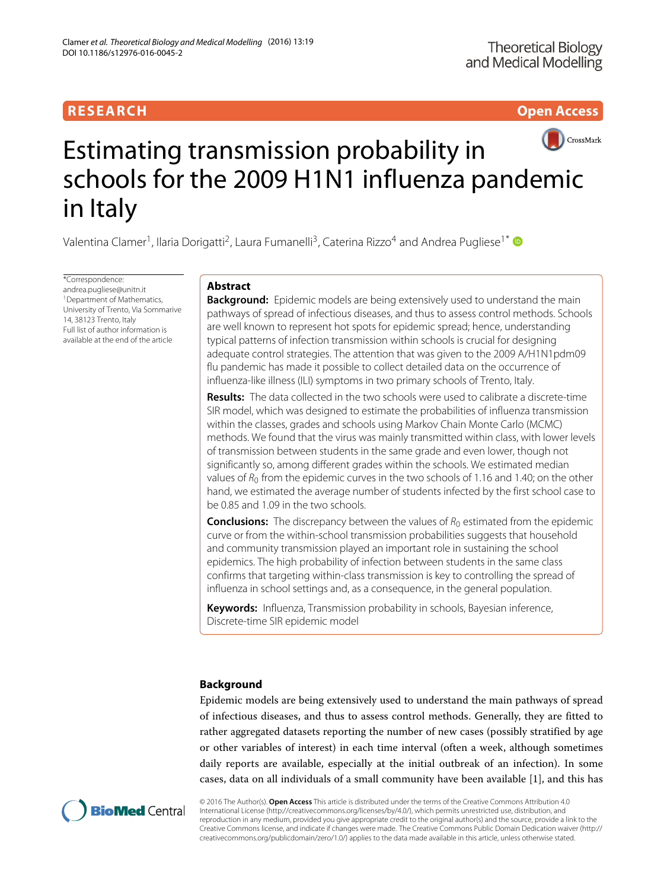## **RESEARCH Open Access**



# Estimating transmission probability in schools for the 2009 H1N1 influenza pandemic in Italy

Valentina Clamer<sup>1</sup>, Ilaria Dorigatti<sup>2</sup>, Laura Fumanelli<sup>3</sup>, Caterina Rizzo<sup>4</sup> and Andrea Pugliese<sup>1\*</sup>

\*Correspondence: [andrea.pugliese@unitn.it](mailto: andrea.pugliese@unitn.it) <sup>1</sup> Department of Mathematics, University of Trento, Via Sommarive 14, 38123 Trento, Italy Full list of author information is available at the end of the article

## **Abstract**

**Background:** Epidemic models are being extensively used to understand the main pathways of spread of infectious diseases, and thus to assess control methods. Schools are well known to represent hot spots for epidemic spread; hence, understanding typical patterns of infection transmission within schools is crucial for designing adequate control strategies. The attention that was given to the 2009 A/H1N1pdm09 flu pandemic has made it possible to collect detailed data on the occurrence of influenza-like illness (ILI) symptoms in two primary schools of Trento, Italy.

**Results:** The data collected in the two schools were used to calibrate a discrete-time SIR model, which was designed to estimate the probabilities of influenza transmission within the classes, grades and schools using Markov Chain Monte Carlo (MCMC) methods. We found that the virus was mainly transmitted within class, with lower levels of transmission between students in the same grade and even lower, though not significantly so, among different grades within the schools. We estimated median values of  $R_0$  from the epidemic curves in the two schools of 1.16 and 1.40; on the other hand, we estimated the average number of students infected by the first school case to be 0.85 and 1.09 in the two schools.

**Conclusions:** The discrepancy between the values of  $R_0$  estimated from the epidemic curve or from the within-school transmission probabilities suggests that household and community transmission played an important role in sustaining the school epidemics. The high probability of infection between students in the same class confirms that targeting within-class transmission is key to controlling the spread of influenza in school settings and, as a consequence, in the general population.

**Keywords:** Influenza, Transmission probability in schools, Bayesian inference, Discrete-time SIR epidemic model

## **Background**

Epidemic models are being extensively used to understand the main pathways of spread of infectious diseases, and thus to assess control methods. Generally, they are fitted to rather aggregated datasets reporting the number of new cases (possibly stratified by age or other variables of interest) in each time interval (often a week, although sometimes daily reports are available, especially at the initial outbreak of an infection). In some cases, data on all individuals of a small community have been available [\[1\]](#page-11-0), and this has



© 2016 The Author(s). **Open Access** This article is distributed under the terms of the Creative Commons Attribution 4.0 International License [\(http://creativecommons.org/licenses/by/4.0/\)](http://creativecommons.org/licenses/by/4.0/), which permits unrestricted use, distribution, and reproduction in any medium, provided you give appropriate credit to the original author(s) and the source, provide a link to the Creative Commons license, and indicate if changes were made. The Creative Commons Public Domain Dedication waiver [\(http://](http://creativecommons.org/publicdomain/zero/1.0/) [creativecommons.org/publicdomain/zero/1.0/\)](http://creativecommons.org/publicdomain/zero/1.0/) applies to the data made available in this article, unless otherwise stated.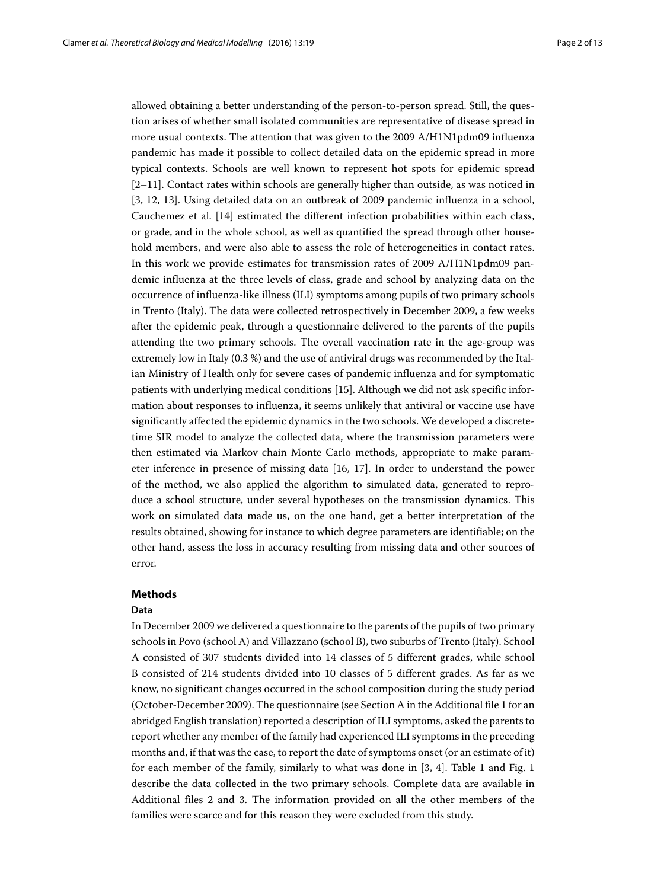allowed obtaining a better understanding of the person-to-person spread. Still, the question arises of whether small isolated communities are representative of disease spread in more usual contexts. The attention that was given to the 2009 A/H1N1pdm09 influenza pandemic has made it possible to collect detailed data on the epidemic spread in more typical contexts. Schools are well known to represent hot spots for epidemic spread [\[2](#page-11-1)[–11\]](#page-11-2). Contact rates within schools are generally higher than outside, as was noticed in [\[3,](#page-11-3) [12,](#page-11-4) [13\]](#page-11-5). Using detailed data on an outbreak of 2009 pandemic influenza in a school, Cauchemez et al. [\[14\]](#page-11-6) estimated the different infection probabilities within each class, or grade, and in the whole school, as well as quantified the spread through other household members, and were also able to assess the role of heterogeneities in contact rates. In this work we provide estimates for transmission rates of 2009 A/H1N1pdm09 pandemic influenza at the three levels of class, grade and school by analyzing data on the occurrence of influenza-like illness (ILI) symptoms among pupils of two primary schools in Trento (Italy). The data were collected retrospectively in December 2009, a few weeks after the epidemic peak, through a questionnaire delivered to the parents of the pupils attending the two primary schools. The overall vaccination rate in the age-group was extremely low in Italy (0.3 %) and the use of antiviral drugs was recommended by the Italian Ministry of Health only for severe cases of pandemic influenza and for symptomatic patients with underlying medical conditions [\[15\]](#page-11-7). Although we did not ask specific information about responses to influenza, it seems unlikely that antiviral or vaccine use have significantly affected the epidemic dynamics in the two schools. We developed a discretetime SIR model to analyze the collected data, where the transmission parameters were then estimated via Markov chain Monte Carlo methods, appropriate to make parameter inference in presence of missing data [\[16,](#page-11-8) [17\]](#page-11-9). In order to understand the power of the method, we also applied the algorithm to simulated data, generated to reproduce a school structure, under several hypotheses on the transmission dynamics. This work on simulated data made us, on the one hand, get a better interpretation of the results obtained, showing for instance to which degree parameters are identifiable; on the other hand, assess the loss in accuracy resulting from missing data and other sources of error.

## **Methods**

### **Data**

In December 2009 we delivered a questionnaire to the parents of the pupils of two primary schools in Povo (school A) and Villazzano (school B), two suburbs of Trento (Italy). School A consisted of 307 students divided into 14 classes of 5 different grades, while school B consisted of 214 students divided into 10 classes of 5 different grades. As far as we know, no significant changes occurred in the school composition during the study period (October-December 2009). The questionnaire (see Section A in the Additional file [1](#page-10-0) for an abridged English translation) reported a description of ILI symptoms, asked the parents to report whether any member of the family had experienced ILI symptoms in the preceding months and, if that was the case, to report the date of symptoms onset (or an estimate of it) for each member of the family, similarly to what was done in [\[3,](#page-11-3) [4\]](#page-11-10). Table [1](#page-2-0) and Fig. [1](#page-2-1) describe the data collected in the two primary schools. Complete data are available in Additional files [2](#page-10-1) and [3.](#page-10-2) The information provided on all the other members of the families were scarce and for this reason they were excluded from this study.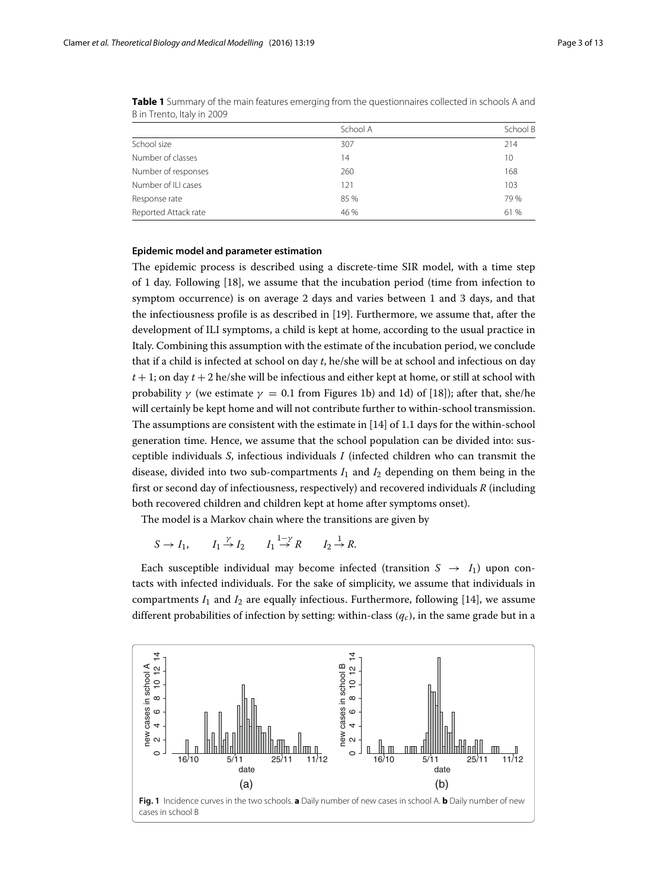|                      | School A | School B |
|----------------------|----------|----------|
| School size          | 307      | 214      |
| Number of classes    | 14       | 10       |
| Number of responses  | 260      | 168      |
| Number of ILI cases  | 121      | 103      |
| Response rate        | 85 %     | 79 %     |
| Reported Attack rate | 46 %     | 61 %     |

<span id="page-2-0"></span>**Table 1** Summary of the main features emerging from the questionnaires collected in schools A and B in Trento, Italy in 2009

#### **Epidemic model and parameter estimation**

The epidemic process is described using a discrete-time SIR model, with a time step of 1 day. Following [\[18\]](#page-11-11), we assume that the incubation period (time from infection to symptom occurrence) is on average 2 days and varies between 1 and 3 days, and that the infectiousness profile is as described in [\[19\]](#page-11-12). Furthermore, we assume that, after the development of ILI symptoms, a child is kept at home, according to the usual practice in Italy. Combining this assumption with the estimate of the incubation period, we conclude that if a child is infected at school on day *t*, he/she will be at school and infectious on day  $t + 1$ ; on day  $t + 2$  he/she will be infectious and either kept at home, or still at school with probability  $\gamma$  (we estimate  $\gamma = 0.1$  from Figures 1b) and 1d) of [\[18\]](#page-11-11)); after that, she/he will certainly be kept home and will not contribute further to within-school transmission. The assumptions are consistent with the estimate in  $[14]$  of 1.1 days for the within-school generation time. Hence, we assume that the school population can be divided into: susceptible individuals *S*, infectious individuals *I* (infected children who can transmit the disease, divided into two sub-compartments  $I_1$  and  $I_2$  depending on them being in the first or second day of infectiousness, respectively) and recovered individuals *R* (including both recovered children and children kept at home after symptoms onset).

The model is a Markov chain where the transitions are given by

 $S \to I_1, \qquad I_1 \stackrel{\gamma}{\to} I_2 \qquad I_1 \stackrel{1-\gamma}{\to} R \qquad I_2 \stackrel{1}{\to} R.$ 

Each susceptible individual may become infected (transition  $S \rightarrow I_1$ ) upon contacts with infected individuals. For the sake of simplicity, we assume that individuals in compartments  $I_1$  and  $I_2$  are equally infectious. Furthermore, following [\[14\]](#page-11-6), we assume different probabilities of infection by setting: within-class (*qc*), in the same grade but in a

<span id="page-2-1"></span>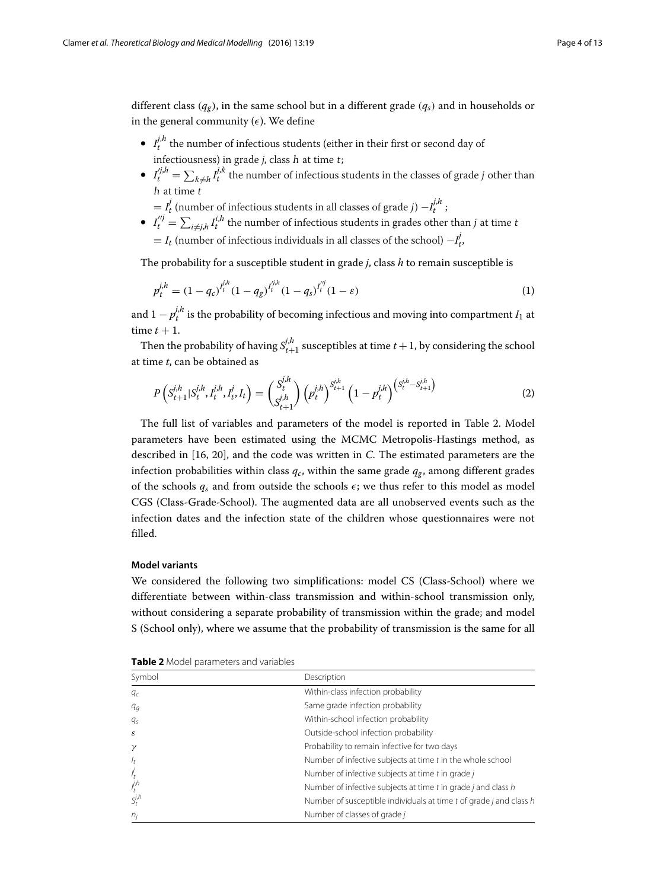different class (*qg* ), in the same school but in a different grade (*qs*) and in households or in the general community ( $\epsilon$ ). We define

- $\bullet$   $I_t^{j,h}$  the number of infectious students (either in their first or second day of infectiousness) in grade *j*, class  $h$  at time  $t$ ;
- $I_t^{j,h} = \sum_{k \neq h} I_t^{j,k}$  the number of infectious students in the classes of grade j other than h at time <sup>t</sup>
	- $= I_t^j$  (number of infectious students in all classes of grade *j*)  $-I_t^{j,h}$ ;
- $I''_t = \sum_{i \neq j,h} I^{i,h}_t$  the number of infectious students in grades other than j at time t  $= I_t$  (number of infectious individuals in all classes of the school)  $-I_t^j$ ,

The probability for a susceptible student in grade *j*, class *h* to remain susceptible is

$$
p_t^{j,h} = (1 - q_c)^{I_t^{j,h}} (1 - q_g)^{I_t^{j,h}} (1 - q_s)^{I_t^{j,j}} (1 - \varepsilon)
$$
\n(1)

and  $1-p_t^{j,h}$  is the probability of becoming infectious and moving into compartment  $I_1$  at time  $t + 1$ .

Then the probability of having  $S_{t+1}^{j,h}$  susceptibles at time  $t+1$ , by considering the school at time *t*, can be obtained as

$$
P\left(S_{t+1}^{j,h}|S_t^{j,h},I_t^{j,h},I_t^{j},I_t\right) = \binom{S_t^{j,h}}{S_{t+1}^{j,h}} \left(p_t^{j,h}\right)^{S_{t+1}^{j,h}} \left(1 - p_t^{j,h}\right)^{\left(S_t^{j,h} - S_{t+1}^{j,h}\right)}\tag{2}
$$

The full list of variables and parameters of the model is reported in Table [2.](#page-3-0) Model parameters have been estimated using the MCMC Metropolis-Hastings method, as described in [\[16,](#page-11-8) [20\]](#page-11-13), and the code was written in *C*. The estimated parameters are the infection probabilities within class  $q_c$ , within the same grade  $q_g$ , among different grades of the schools  $q_s$  and from outside the schools  $\epsilon$ ; we thus refer to this model as model CGS (Class-Grade-School). The augmented data are all unobserved events such as the infection dates and the infection state of the children whose questionnaires were not filled.

## <span id="page-3-1"></span>**Model variants**

We considered the following two simplifications: model CS (Class-School) where we differentiate between within-class transmission and within-school transmission only, without considering a separate probability of transmission within the grade; and model S (School only), where we assume that the probability of transmission is the same for all

| Symbol      | Description                                                         |
|-------------|---------------------------------------------------------------------|
| $q_c$       | Within-class infection probability                                  |
| $q_{q}$     | Same grade infection probability                                    |
| $q_{\rm S}$ | Within-school infection probability                                 |
| £           | Outside-school infection probability                                |
|             | Probability to remain infective for two days                        |
|             | Number of infective subjects at time t in the whole school          |
|             | Number of infective subjects at time t in grade j                   |
| $I_t^{j,h}$ | Number of infective subjects at time $t$ in grade $j$ and class $h$ |
| $S^{j,h}_t$ | Number of susceptible individuals at time t of grade j and class h  |
| $n_i$       | Number of classes of grade j                                        |

<span id="page-3-0"></span>**Table 2** Model parameters and variables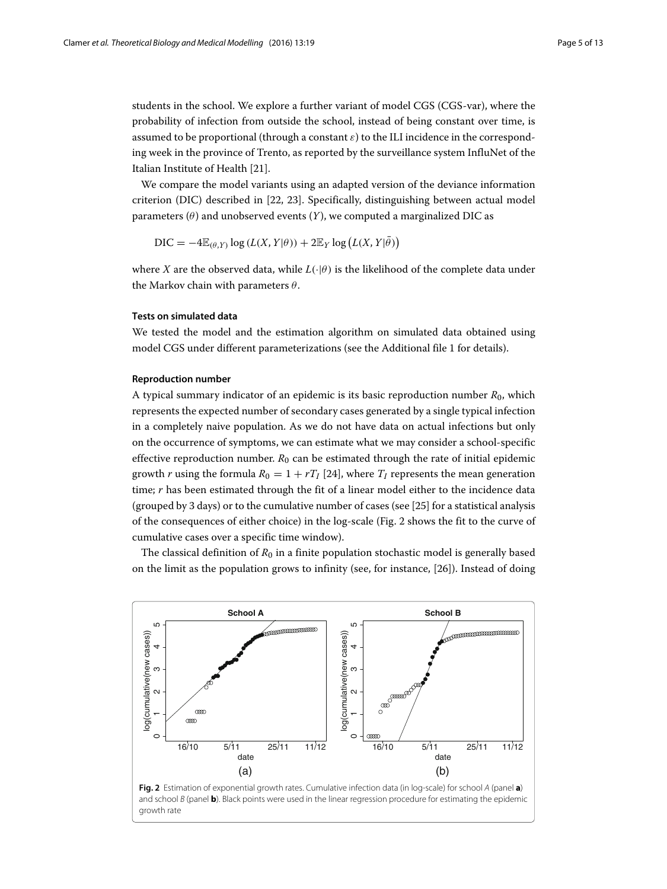students in the school. We explore a further variant of model CGS (CGS-var), where the probability of infection from outside the school, instead of being constant over time, is assumed to be proportional (through a constant  $\varepsilon$ ) to the ILI incidence in the corresponding week in the province of Trento, as reported by the surveillance system InfluNet of the Italian Institute of Health [\[21\]](#page-11-14).

We compare the model variants using an adapted version of the deviance information criterion (DIC) described in [\[22,](#page-11-15) [23\]](#page-11-16). Specifically, distinguishing between actual model parameters  $(\theta)$  and unobserved events  $(Y)$ , we computed a marginalized DIC as

$$
DIC = -4\mathbb{E}_{(\theta,Y)} \log (L(X,Y|\theta)) + 2\mathbb{E}_Y \log (L(X,Y|\bar{\theta}))
$$

where *X* are the observed data, while  $L(\cdot|\theta)$  is the likelihood of the complete data under the Markov chain with parameters  $\theta$ .

## **Tests on simulated data**

We tested the model and the estimation algorithm on simulated data obtained using model CGS under different parameterizations (see the Additional file [1](#page-10-0) for details).

## **Reproduction number**

A typical summary indicator of an epidemic is its basic reproduction number  $R_0$ , which represents the expected number of secondary cases generated by a single typical infection in a completely naive population. As we do not have data on actual infections but only on the occurrence of symptoms, we can estimate what we may consider a school-specific effective reproduction number. *R*<sub>0</sub> can be estimated through the rate of initial epidemic growth *r* using the formula  $R_0 = 1 + rT_I$  [\[24\]](#page-11-17), where  $T_I$  represents the mean generation time; *r* has been estimated through the fit of a linear model either to the incidence data (grouped by 3 days) or to the cumulative number of cases (see [\[25\]](#page-11-18) for a statistical analysis of the consequences of either choice) in the log-scale (Fig. [2](#page-4-0) shows the fit to the curve of cumulative cases over a specific time window).

The classical definition of  $R_0$  in a finite population stochastic model is generally based on the limit as the population grows to infinity (see, for instance, [\[26\]](#page-11-19)). Instead of doing

<span id="page-4-0"></span>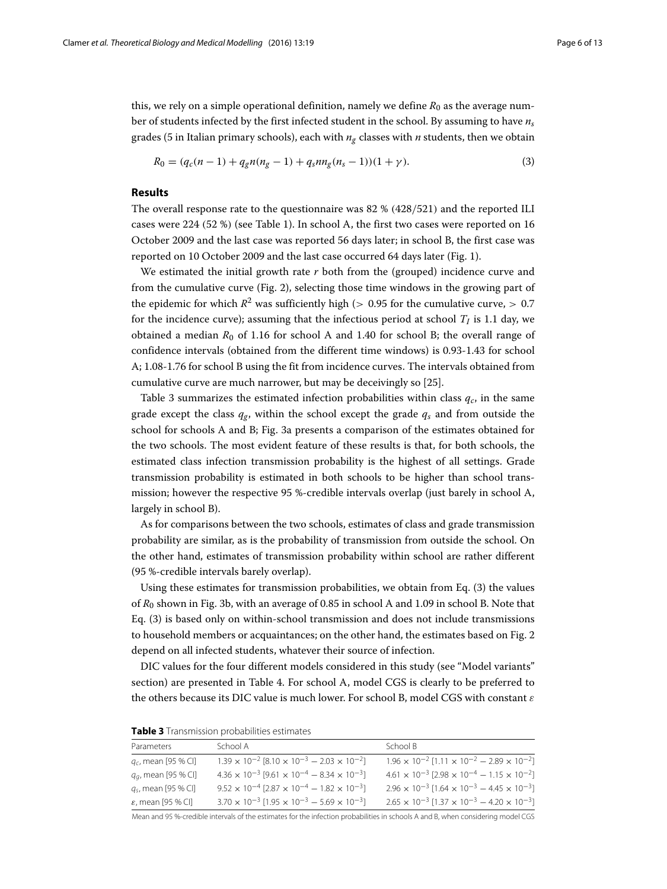this, we rely on a simple operational definition, namely we define  $R_0$  as the average number of students infected by the first infected student in the school. By assuming to have *ns* grades (5 in Italian primary schools), each with *ng* classes with *n* students, then we obtain

<span id="page-5-1"></span>
$$
R_0 = (q_c(n-1) + q_g n(n_g - 1) + q_s n n_g(n_s - 1))(1 + \gamma).
$$
\n(3)

## **Results**

The overall response rate to the questionnaire was 82 % (428/521) and the reported ILI cases were 224 (52 %) (see Table [1\)](#page-2-0). In school A, the first two cases were reported on 16 October 2009 and the last case was reported 56 days later; in school B, the first case was reported on 10 October 2009 and the last case occurred 64 days later (Fig. [1\)](#page-2-1).

We estimated the initial growth rate *r* both from the (grouped) incidence curve and from the cumulative curve (Fig. [2\)](#page-4-0), selecting those time windows in the growing part of the epidemic for which  $R^2$  was sufficiently high ( $> 0.95$  for the cumulative curve,  $> 0.7$ for the incidence curve); assuming that the infectious period at school  $T_I$  is 1.1 day, we obtained a median  $R_0$  of 1.16 for school A and 1.40 for school B; the overall range of confidence intervals (obtained from the different time windows) is 0.93-1.43 for school A; 1.08-1.76 for school B using the fit from incidence curves. The intervals obtained from cumulative curve are much narrower, but may be deceivingly so [\[25\]](#page-11-18).

Table [3](#page-5-0) summarizes the estimated infection probabilities within class  $q_c$ , in the same grade except the class  $q_\varrho$ , within the school except the grade  $q_s$  and from outside the school for schools A and B; Fig. [3](#page-6-0)[a](#page-6-1) presents a comparison of the estimates obtained for the two schools. The most evident feature of these results is that, for both schools, the estimated class infection transmission probability is the highest of all settings. Grade transmission probability is estimated in both schools to be higher than school transmission; however the respective 95 %-credible intervals overlap (just barely in school A, largely in school B).

As for comparisons between the two schools, estimates of class and grade transmission probability are similar, as is the probability of transmission from outside the school. On the other hand, estimates of transmission probability within school are rather different (95 %-credible intervals barely overlap).

Using these estimates for transmission probabilities, we obtain from Eq. [\(3\)](#page-5-1) the values of *R*<sup>0</sup> shown in Fig. [3](#page-6-0)[b,](#page-6-1) with an average of 0.85 in school A and 1.09 in school B. Note that Eq. [\(3\)](#page-5-1) is based only on within-school transmission and does not include transmissions to household members or acquaintances; on the other hand, the estimates based on Fig. [2](#page-4-0) depend on all infected students, whatever their source of infection.

DIC values for the four different models considered in this study (see ["Model variants"](#page-3-1) section) are presented in Table [4.](#page-6-2) For school A, model CGS is clearly to be preferred to the others because its DIC value is much lower. For school B, model CGS with constant  $\varepsilon$ 

<span id="page-5-0"></span>

| Parameters                     | School A                                                             | School B                                                             |
|--------------------------------|----------------------------------------------------------------------|----------------------------------------------------------------------|
| $q_c$ , mean [95 % CI]         | $1.39 \times 10^{-2}$ [8.10 $\times 10^{-3} - 2.03 \times 10^{-2}$ ] | $1.96 \times 10^{-2}$ [1.11 $\times 10^{-2} - 2.89 \times 10^{-2}$ ] |
| $q_q$ , mean [95 % CI]         | $4.36 \times 10^{-3}$ [9.61 $\times 10^{-4} - 8.34 \times 10^{-3}$ ] | $4.61 \times 10^{-3}$ [2.98 $\times 10^{-4} - 1.15 \times 10^{-2}$ ] |
| $q_s$ , mean [95 % CI]         | $9.52 \times 10^{-4}$ [2.87 $\times 10^{-4} - 1.82 \times 10^{-3}$ ] | $2.96 \times 10^{-3}$ [1.64 $\times 10^{-3} - 4.45 \times 10^{-3}$ ] |
| $\varepsilon$ , mean [95 % CI] | $3.70 \times 10^{-3}$ [1.95 $\times 10^{-3} - 5.69 \times 10^{-3}$ ] | $2.65 \times 10^{-3}$ [1.37 $\times 10^{-3} - 4.20 \times 10^{-3}$ ] |

Mean and 95 %-credible intervals of the estimates for the infection probabilities in schools A and B, when considering model CGS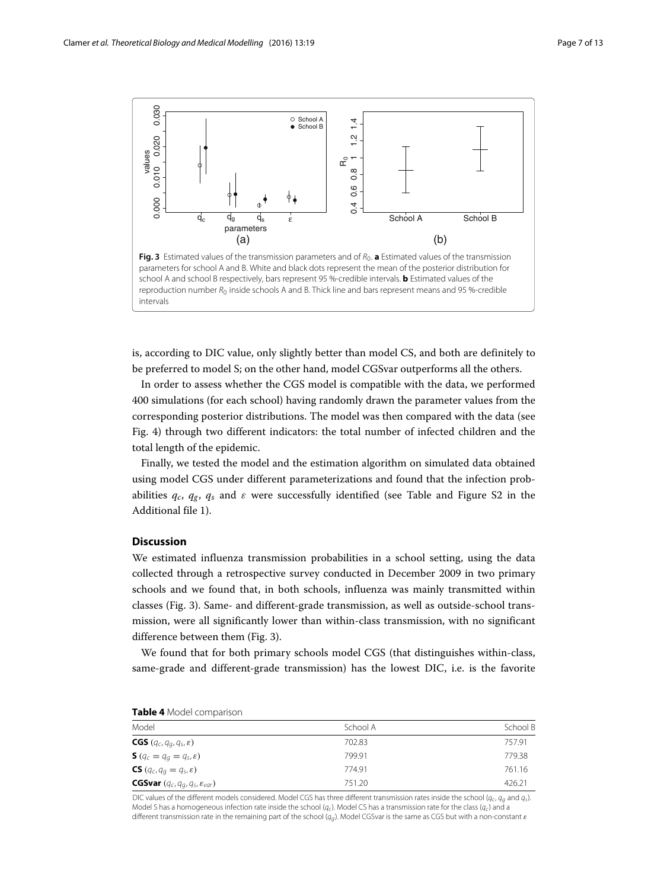

<span id="page-6-1"></span><span id="page-6-0"></span>is, according to DIC value, only slightly better than model CS, and both are definitely to be preferred to model S; on the other hand, model CGSvar outperforms all the others.

In order to assess whether the CGS model is compatible with the data, we performed 400 simulations (for each school) having randomly drawn the parameter values from the corresponding posterior distributions. The model was then compared with the data (see Fig. [4\)](#page-7-0) through two different indicators: the total number of infected children and the total length of the epidemic.

Finally, we tested the model and the estimation algorithm on simulated data obtained using model CGS under different parameterizations and found that the infection probabilities  $q_c$ ,  $q_g$ ,  $q_s$  and  $\varepsilon$  were successfully identified (see Table and Figure S2 in the Additional file [1\)](#page-10-0).

## **Discussion**

We estimated influenza transmission probabilities in a school setting, using the data collected through a retrospective survey conducted in December 2009 in two primary schools and we found that, in both schools, influenza was mainly transmitted within classes (Fig. [3\)](#page-6-0). Same- and different-grade transmission, as well as outside-school transmission, were all significantly lower than within-class transmission, with no significant difference between them (Fig. [3\)](#page-6-0).

We found that for both primary schools model CGS (that distinguishes within-class, same-grade and different-grade transmission) has the lowest DIC, i.e. is the favorite

<span id="page-6-2"></span>

| <b>FONIC T</b> IVIOUCH COLLIDATION I               |          |          |  |
|----------------------------------------------------|----------|----------|--|
| Model                                              | School A | School B |  |
| <b>CGS</b> $(q_c, q_g, q_s, \varepsilon)$          | 702.83   | 757.91   |  |
| <b>S</b> $(q_c = q_a = q_s, \varepsilon)$          | 799.91   | 779.38   |  |
| <b>CS</b> $(q_c, q_a = q_s, \varepsilon)$          | 774.91   | 761.16   |  |
| <b>CGSvar</b> $(q_c, q_a, q_s, \varepsilon_{var})$ | 751.20   | 426.21   |  |

**Table 4** Model comparison

DIC values of the different models considered. Model CGS has three different transmission rates inside the school ( $q_c$ ,  $q_g$  and  $q_s$ ). Model S has a homogeneous infection rate inside the school  $(q_c)$ . Model CS has a transmission rate for the class  $(q_c)$  and a different transmission rate in the remaining part of the school ( $q<sub>g</sub>$ ). Model CGSvar is the same as CGS but with a non-constant  $\varepsilon$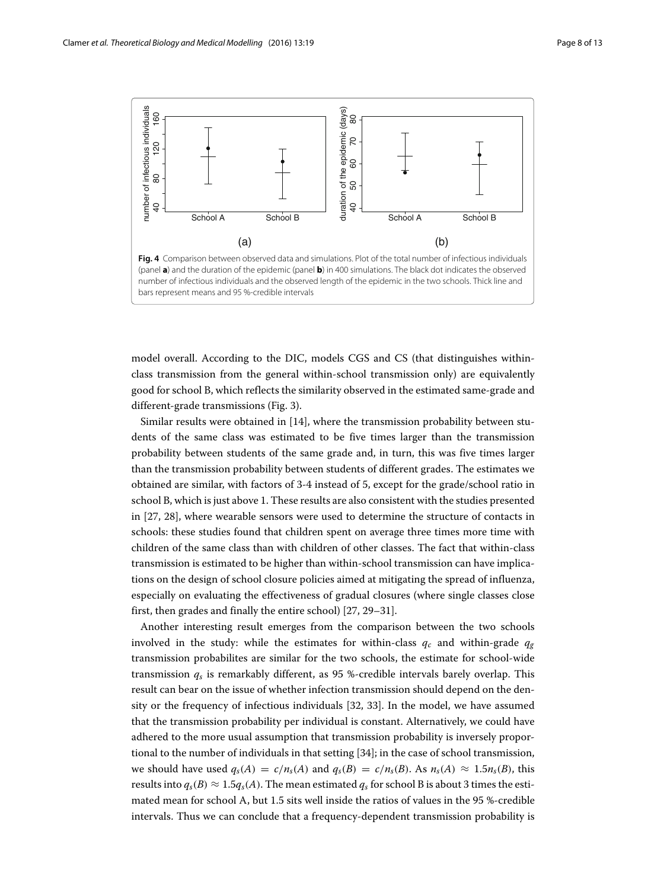

<span id="page-7-0"></span>model overall. According to the DIC, models CGS and CS (that distinguishes withinclass transmission from the general within-school transmission only) are equivalently good for school B, which reflects the similarity observed in the estimated same-grade and different-grade transmissions (Fig. [3\)](#page-6-0).

Similar results were obtained in [\[14\]](#page-11-6), where the transmission probability between students of the same class was estimated to be five times larger than the transmission probability between students of the same grade and, in turn, this was five times larger than the transmission probability between students of different grades. The estimates we obtained are similar, with factors of 3-4 instead of 5, except for the grade/school ratio in school B, which is just above 1. These results are also consistent with the studies presented in [\[27,](#page-11-20) [28\]](#page-11-21), where wearable sensors were used to determine the structure of contacts in schools: these studies found that children spent on average three times more time with children of the same class than with children of other classes. The fact that within-class transmission is estimated to be higher than within-school transmission can have implications on the design of school closure policies aimed at mitigating the spread of influenza, especially on evaluating the effectiveness of gradual closures (where single classes close first, then grades and finally the entire school) [\[27,](#page-11-20) [29](#page-11-22)[–31\]](#page-12-0).

Another interesting result emerges from the comparison between the two schools involved in the study: while the estimates for within-class  $q_c$  and within-grade  $q_g$ transmission probabilites are similar for the two schools, the estimate for school-wide transmission *qs* is remarkably different, as 95 %-credible intervals barely overlap. This result can bear on the issue of whether infection transmission should depend on the density or the frequency of infectious individuals [\[32,](#page-12-1) [33\]](#page-12-2). In the model, we have assumed that the transmission probability per individual is constant. Alternatively, we could have adhered to the more usual assumption that transmission probability is inversely proportional to the number of individuals in that setting [\[34\]](#page-12-3); in the case of school transmission, we should have used  $q_s(A) = c/n_s(A)$  and  $q_s(B) = c/n_s(B)$ . As  $n_s(A) \approx 1.5n_s(B)$ , this results into  $q_s(B) \approx 1.5q_s(A)$ . The mean estimated  $q_s$  for school B is about 3 times the estimated mean for school A, but 1.5 sits well inside the ratios of values in the 95 %-credible intervals. Thus we can conclude that a frequency-dependent transmission probability is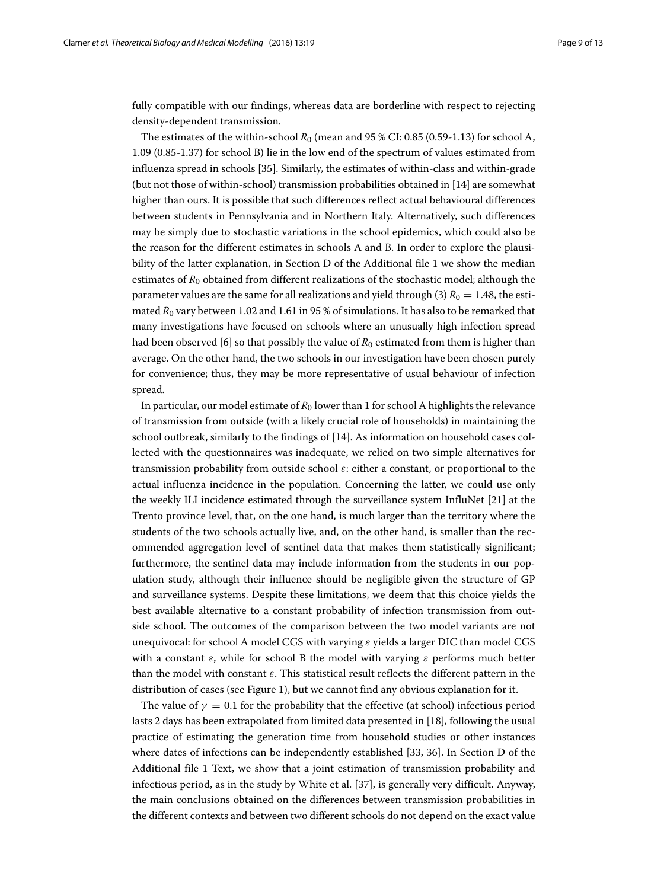fully compatible with our findings, whereas data are borderline with respect to rejecting density-dependent transmission.

The estimates of the within-school  $R_0$  (mean and 95 % CI: 0.85 (0.59-1.13) for school A, 1.09 (0.85-1.37) for school B) lie in the low end of the spectrum of values estimated from influenza spread in schools [\[35\]](#page-12-4). Similarly, the estimates of within-class and within-grade (but not those of within-school) transmission probabilities obtained in [\[14\]](#page-11-6) are somewhat higher than ours. It is possible that such differences reflect actual behavioural differences between students in Pennsylvania and in Northern Italy. Alternatively, such differences may be simply due to stochastic variations in the school epidemics, which could also be the reason for the different estimates in schools A and B. In order to explore the plausibility of the latter explanation, in Section D of the Additional file [1](#page-10-0) we show the median estimates of *R*<sup>0</sup> obtained from different realizations of the stochastic model; although the parameter values are the same for all realizations and yield through [\(3\)](#page-5-1)  $R_0 = 1.48$ , the estimated  $R_0$  vary between 1.02 and 1.61 in 95 % of simulations. It has also to be remarked that many investigations have focused on schools where an unusually high infection spread had been observed [\[6\]](#page-11-23) so that possibly the value of  $R_0$  estimated from them is higher than average. On the other hand, the two schools in our investigation have been chosen purely for convenience; thus, they may be more representative of usual behaviour of infection spread.

In particular, our model estimate of *R*<sup>0</sup> lower than 1 for school A highlights the relevance of transmission from outside (with a likely crucial role of households) in maintaining the school outbreak, similarly to the findings of [\[14\]](#page-11-6). As information on household cases collected with the questionnaires was inadequate, we relied on two simple alternatives for transmission probability from outside school  $\varepsilon$ : either a constant, or proportional to the actual influenza incidence in the population. Concerning the latter, we could use only the weekly ILI incidence estimated through the surveillance system InfluNet [\[21\]](#page-11-14) at the Trento province level, that, on the one hand, is much larger than the territory where the students of the two schools actually live, and, on the other hand, is smaller than the recommended aggregation level of sentinel data that makes them statistically significant; furthermore, the sentinel data may include information from the students in our population study, although their influence should be negligible given the structure of GP and surveillance systems. Despite these limitations, we deem that this choice yields the best available alternative to a constant probability of infection transmission from outside school. The outcomes of the comparison between the two model variants are not unequivocal: for school A model CGS with varying  $\varepsilon$  yields a larger DIC than model CGS with a constant  $\varepsilon$ , while for school B the model with varying  $\varepsilon$  performs much better than the model with constant  $\varepsilon$ . This statistical result reflects the different pattern in the distribution of cases (see Figure [1\)](#page-2-1), but we cannot find any obvious explanation for it.

The value of  $\gamma = 0.1$  for the probability that the effective (at school) infectious period lasts 2 days has been extrapolated from limited data presented in [\[18\]](#page-11-11), following the usual practice of estimating the generation time from household studies or other instances where dates of infections can be independently established [\[33,](#page-12-2) [36\]](#page-12-5). In Section D of the Additional file [1](#page-10-0) Text, we show that a joint estimation of transmission probability and infectious period, as in the study by White et al. [\[37\]](#page-12-6), is generally very difficult. Anyway, the main conclusions obtained on the differences between transmission probabilities in the different contexts and between two different schools do not depend on the exact value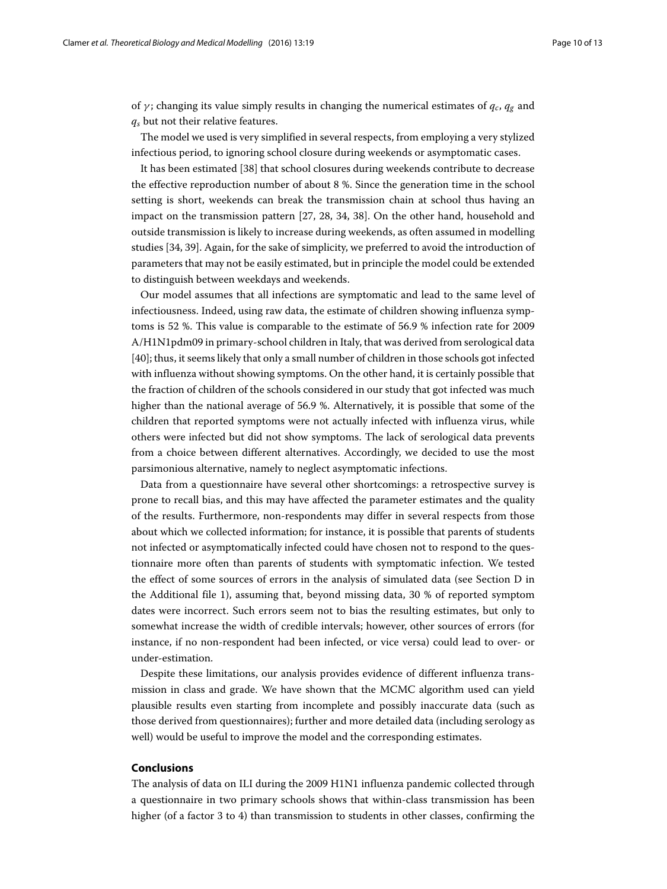of  $\gamma$ ; changing its value simply results in changing the numerical estimates of  $q_c$ ,  $q_g$  and *qs* but not their relative features.

The model we used is very simplified in several respects, from employing a very stylized infectious period, to ignoring school closure during weekends or asymptomatic cases.

It has been estimated [\[38\]](#page-12-7) that school closures during weekends contribute to decrease the effective reproduction number of about 8 %. Since the generation time in the school setting is short, weekends can break the transmission chain at school thus having an impact on the transmission pattern [\[27,](#page-11-20) [28,](#page-11-21) [34,](#page-12-3) [38\]](#page-12-7). On the other hand, household and outside transmission is likely to increase during weekends, as often assumed in modelling studies [\[34,](#page-12-3) [39\]](#page-12-8). Again, for the sake of simplicity, we preferred to avoid the introduction of parameters that may not be easily estimated, but in principle the model could be extended to distinguish between weekdays and weekends.

Our model assumes that all infections are symptomatic and lead to the same level of infectiousness. Indeed, using raw data, the estimate of children showing influenza symptoms is 52 %. This value is comparable to the estimate of 56.9 % infection rate for 2009 A/H1N1pdm09 in primary-school children in Italy, that was derived from serological data [\[40\]](#page-12-9); thus, it seems likely that only a small number of children in those schools got infected with influenza without showing symptoms. On the other hand, it is certainly possible that the fraction of children of the schools considered in our study that got infected was much higher than the national average of 56.9 %. Alternatively, it is possible that some of the children that reported symptoms were not actually infected with influenza virus, while others were infected but did not show symptoms. The lack of serological data prevents from a choice between different alternatives. Accordingly, we decided to use the most parsimonious alternative, namely to neglect asymptomatic infections.

Data from a questionnaire have several other shortcomings: a retrospective survey is prone to recall bias, and this may have affected the parameter estimates and the quality of the results. Furthermore, non-respondents may differ in several respects from those about which we collected information; for instance, it is possible that parents of students not infected or asymptomatically infected could have chosen not to respond to the questionnaire more often than parents of students with symptomatic infection. We tested the effect of some sources of errors in the analysis of simulated data (see Section D in the Additional file [1\)](#page-10-0), assuming that, beyond missing data, 30 % of reported symptom dates were incorrect. Such errors seem not to bias the resulting estimates, but only to somewhat increase the width of credible intervals; however, other sources of errors (for instance, if no non-respondent had been infected, or vice versa) could lead to over- or under-estimation.

Despite these limitations, our analysis provides evidence of different influenza transmission in class and grade. We have shown that the MCMC algorithm used can yield plausible results even starting from incomplete and possibly inaccurate data (such as those derived from questionnaires); further and more detailed data (including serology as well) would be useful to improve the model and the corresponding estimates.

## **Conclusions**

The analysis of data on ILI during the 2009 H1N1 influenza pandemic collected through a questionnaire in two primary schools shows that within-class transmission has been higher (of a factor 3 to 4) than transmission to students in other classes, confirming the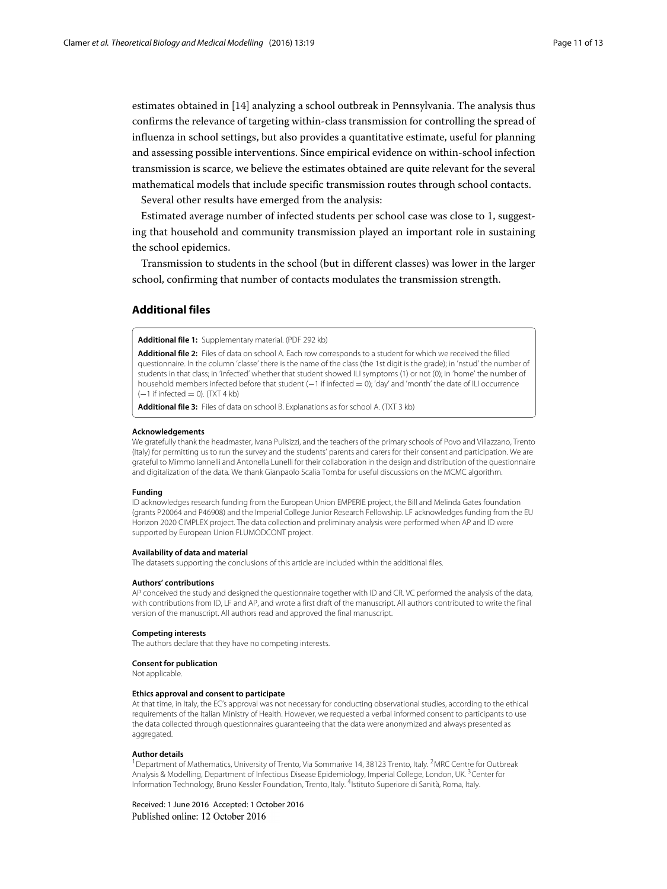estimates obtained in [\[14\]](#page-11-6) analyzing a school outbreak in Pennsylvania. The analysis thus confirms the relevance of targeting within-class transmission for controlling the spread of influenza in school settings, but also provides a quantitative estimate, useful for planning and assessing possible interventions. Since empirical evidence on within-school infection transmission is scarce, we believe the estimates obtained are quite relevant for the several mathematical models that include specific transmission routes through school contacts.

Several other results have emerged from the analysis:

Estimated average number of infected students per school case was close to 1, suggesting that household and community transmission played an important role in sustaining the school epidemics.

Transmission to students in the school (but in different classes) was lower in the larger school, confirming that number of contacts modulates the transmission strength.

## **Additional files**

<span id="page-10-0"></span>**[Additional file 1:](http://dx.doi.org/10.1186/s12976-016-0045-2)** Supplementary material. (PDF 292 kb)

<span id="page-10-1"></span>**[Additional file 2:](http://dx.doi.org/10.1186/s12976-016-0045-2)** Files of data on school A. Each row corresponds to a student for which we received the filled questionnaire. In the column 'classe' there is the name of the class (the 1st digit is the grade); in 'nstud' the number of students in that class; in 'infected' whether that student showed ILI symptoms (1) or not (0); in 'home' the number of household members infected before that student (−1 if infected = 0); 'day' and 'month' the date of ILI occurrence  $(-1)$  if infected = 0). (TXT 4 kb)

<span id="page-10-2"></span>**[Additional file 3:](http://dx.doi.org/10.1186/s12976-016-0045-2)** Files of data on school B. Explanations as for school A. (TXT 3 kb)

#### **Acknowledgements**

We gratefully thank the headmaster, Ivana Pulisizzi, and the teachers of the primary schools of Povo and Villazzano, Trento (Italy) for permitting us to run the survey and the students' parents and carers for their consent and participation. We are grateful to Mimmo Iannelli and Antonella Lunelli for their collaboration in the design and distribution of the questionnaire and digitalization of the data. We thank Gianpaolo Scalia Tomba for useful discussions on the MCMC algorithm.

#### **Funding**

ID acknowledges research funding from the European Union EMPERIE project, the Bill and Melinda Gates foundation (grants P20064 and P46908) and the Imperial College Junior Research Fellowship. LF acknowledges funding from the EU Horizon 2020 CIMPLEX project. The data collection and preliminary analysis were performed when AP and ID were supported by European Union FLUMODCONT project.

#### **Availability of data and material**

The datasets supporting the conclusions of this article are included within the additional files.

#### **Authors' contributions**

AP conceived the study and designed the questionnaire together with ID and CR. VC performed the analysis of the data, with contributions from ID, LF and AP, and wrote a first draft of the manuscript. All authors contributed to write the final version of the manuscript. All authors read and approved the final manuscript.

#### **Competing interests**

The authors declare that they have no competing interests.

#### **Consent for publication**

Not applicable.

#### **Ethics approval and consent to participate**

At that time, in Italy, the EC's approval was not necessary for conducting observational studies, according to the ethical requirements of the Italian Ministry of Health. However, we requested a verbal informed consent to participants to use the data collected through questionnaires guaranteeing that the data were anonymized and always presented as aggregated.

#### **Author details**

<sup>1</sup> Department of Mathematics, University of Trento, Via Sommarive 14, 38123 Trento, Italy. <sup>2</sup>MRC Centre for Outbreak Analysis & Modelling, Department of Infectious Disease Epidemiology, Imperial College, London, UK. 3Center for Information Technology, Bruno Kessler Foundation, Trento, Italy. 4Istituto Superiore di Sanità, Roma, Italy.

Received: 1 June 2016 Accepted: 1 October 2016Published online: 12 October 2016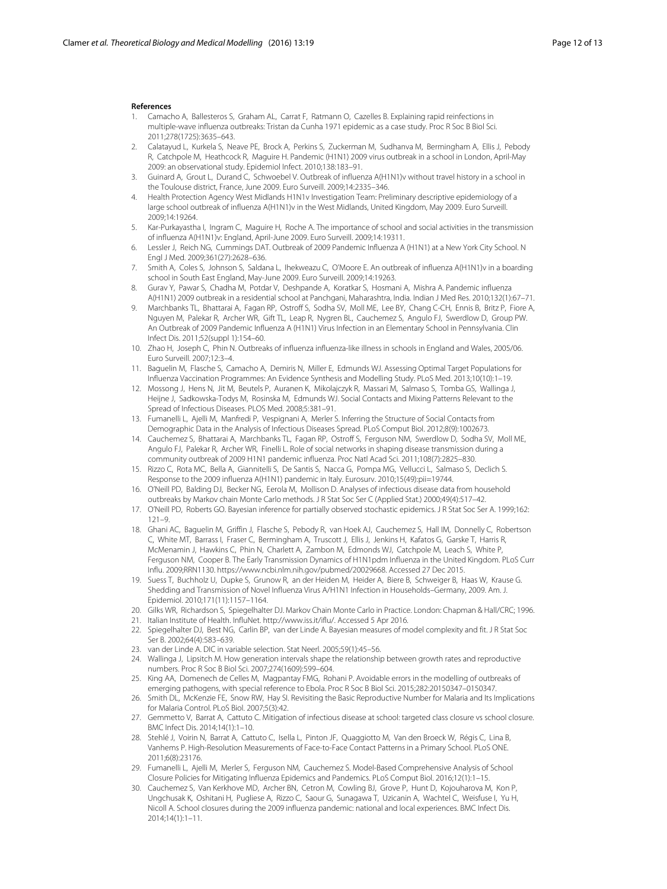#### **References**

- <span id="page-11-0"></span>1. Camacho A, Ballesteros S, Graham AL, Carrat F, Ratmann O, Cazelles B. Explaining rapid reinfections in multiple-wave influenza outbreaks: Tristan da Cunha 1971 epidemic as a case study. Proc R Soc B Biol Sci. 2011;278(1725):3635–643.
- <span id="page-11-1"></span>2. Calatayud L, Kurkela S, Neave PE, Brock A, Perkins S, Zuckerman M, Sudhanva M, Bermingham A, Ellis J, Pebody R, Catchpole M, Heathcock R, Maguire H. Pandemic (H1N1) 2009 virus outbreak in a school in London, April-May 2009: an observational study. Epidemiol Infect. 2010;138:183–91.
- <span id="page-11-3"></span>3. Guinard A, Grout L, Durand C, Schwoebel V. Outbreak of influenza A(H1N1)v without travel history in a school in the Toulouse district, France, June 2009. Euro Surveill. 2009;14:2335–346.
- <span id="page-11-10"></span>4. Health Protection Agency West Midlands H1N1v Investigation Team: Preliminary descriptive epidemiology of a large school outbreak of influenza A(H1N1)v in the West Midlands, United Kingdom, May 2009. Euro Surveill. 2009;14:19264.
- 5. Kar-Purkayastha I, Ingram C, Maguire H, Roche A. The importance of school and social activities in the transmission of influenza A(H1N1)v: England, April-June 2009. Euro Surveill. 2009;14:19311.
- <span id="page-11-23"></span>6. Lessler J, Reich NG, Cummings DAT. Outbreak of 2009 Pandemic Influenza A (H1N1) at a New York City School. N Engl J Med. 2009;361(27):2628–636.
- 7. Smith A, Coles S, Johnson S, Saldana L, Ihekweazu C, O'Moore E. An outbreak of influenza A(H1N1)v in a boarding school in South East England, May-June 2009. Euro Surveill. 2009;14:19263.
- 8. Gurav Y, Pawar S, Chadha M, Potdar V, Deshpande A, Koratkar S, Hosmani A, Mishra A. Pandemic influenza A(H1N1) 2009 outbreak in a residential school at Panchgani, Maharashtra, India. Indian J Med Res. 2010;132(1):67–71.
- 9. Marchbanks TL, Bhattarai A, Fagan RP, Ostroff S, Sodha SV, Moll ME, Lee BY, Chang C-CH, Ennis B, Britz P, Fiore A, Nguyen M, Palekar R, Archer WR, Gift TL, Leap R, Nygren BL, Cauchemez S, Angulo FJ, Swerdlow D, Group PW. An Outbreak of 2009 Pandemic Influenza A (H1N1) Virus Infection in an Elementary School in Pennsylvania. Clin Infect Dis. 2011;52(suppl 1):154–60.
- 10. Zhao H, Joseph C, Phin N. Outbreaks of influenza influenza-like illness in schools in England and Wales, 2005/06. Euro Surveill. 2007;12:3–4.
- <span id="page-11-2"></span>11. Baguelin M, Flasche S, Camacho A, Demiris N, Miller E, Edmunds WJ. Assessing Optimal Target Populations for Influenza Vaccination Programmes: An Evidence Synthesis and Modelling Study. PLoS Med. 2013;10(10):1–19.
- <span id="page-11-4"></span>12. Mossong J, Hens N, Jit M, Beutels P, Auranen K, Mikolajczyk R, Massari M, Salmaso S, Tomba GS, Wallinga J, Heijne J, Sadkowska-Todys M, Rosinska M, Edmunds WJ. Social Contacts and Mixing Patterns Relevant to the Spread of Infectious Diseases. PLOS Med. 2008;5:381–91.
- <span id="page-11-5"></span>13. Fumanelli L, Ajelli M, Manfredi P, Vespignani A, Merler S. Inferring the Structure of Social Contacts from Demographic Data in the Analysis of Infectious Diseases Spread. PLoS Comput Biol. 2012;8(9):1002673.
- <span id="page-11-6"></span>14. Cauchemez S, Bhattarai A, Marchbanks TL, Fagan RP, Ostroff S, Ferguson NM, Swerdlow D, Sodha SV, Moll ME, Angulo FJ, Palekar R, Archer WR, Finelli L. Role of social networks in shaping disease transmission during a community outbreak of 2009 H1N1 pandemic influenza. Proc Natl Acad Sci. 2011;108(7):2825–830.
- <span id="page-11-7"></span>15. Rizzo C, Rota MC, Bella A, Giannitelli S, De Santis S, Nacca G, Pompa MG, Vellucci L, Salmaso S, Declich S. Response to the 2009 influenza A(H1N1) pandemic in Italy. Eurosurv. 2010;15(49):pii=19744.
- <span id="page-11-8"></span>16. O'Neill PD, Balding DJ, Becker NG, Eerola M, Mollison D. Analyses of infectious disease data from household outbreaks by Markov chain Monte Carlo methods. J R Stat Soc Ser C (Applied Stat.) 2000;49(4):517–42.
- <span id="page-11-9"></span>17. O'Neill PD, Roberts GO. Bayesian inference for partially observed stochastic epidemics. J R Stat Soc Ser A. 1999;162: 121–9.
- <span id="page-11-11"></span>18. Ghani AC, Baguelin M, Griffin J, Flasche S, Pebody R, van Hoek AJ, Cauchemez S, Hall IM, Donnelly C, Robertson C, White MT, Barrass I, Fraser C, Bermingham A, Truscott J, Ellis J, Jenkins H, Kafatos G, Garske T, Harris R, McMenamin J, Hawkins C, Phin N, Charlett A, Zambon M, Edmonds WJ, Catchpole M, Leach S, White P, Ferguson NM, Cooper B. The Early Transmission Dynamics of H1N1pdm Influenza in the United Kingdom. PLoS Curr Influ. 2009;RRN1130. [https://www.ncbi.nlm.nih.gov/pubmed/20029668.](https://www.ncbi.nlm.nih.gov/pubmed/20029668) Accessed 27 Dec 2015.
- <span id="page-11-12"></span>19. Suess T, Buchholz U, Dupke S, Grunow R, an der Heiden M, Heider A, Biere B, Schweiger B, Haas W, Krause G. Shedding and Transmission of Novel Influenza Virus A/H1N1 Infection in Households–Germany, 2009. Am. J. Epidemiol. 2010;171(11):1157–1164.
- <span id="page-11-13"></span>20. Gilks WR, Richardson S, Spiegelhalter DJ. Markov Chain Monte Carlo in Practice. London: Chapman & Hall/CRC; 1996.
- <span id="page-11-14"></span>21. Italian Institute of Health. InfluNet. [http://www.iss.it/iflu/.](http://www.iss.it/iflu/) Accessed 5 Apr 2016.
- <span id="page-11-15"></span>22. Spiegelhalter DJ, Best NG, Carlin BP, van der Linde A. Bayesian measures of model complexity and fit. J R Stat Soc Ser B. 2002;64(4):583–639.
- <span id="page-11-16"></span>23. van der Linde A. DIC in variable selection. Stat Neerl. 2005;59(1):45–56.
- <span id="page-11-17"></span>24. Wallinga J, Lipsitch M. How generation intervals shape the relationship between growth rates and reproductive numbers. Proc R Soc B Biol Sci. 2007;274(1609):599–604.
- <span id="page-11-18"></span>25. King AA, Domenech de Celles M, Magpantay FMG, Rohani P. Avoidable errors in the modelling of outbreaks of emerging pathogens, with special reference to Ebola. Proc R Soc B Biol Sci. 2015;282:20150347–0150347.
- <span id="page-11-19"></span>26. Smith DL, McKenzie FE, Snow RW, Hay SI. Revisiting the Basic Reproductive Number for Malaria and Its Implications for Malaria Control. PLoS Biol. 2007;5(3):42.
- <span id="page-11-20"></span>27. Gemmetto V, Barrat A, Cattuto C. Mitigation of infectious disease at school: targeted class closure vs school closure. BMC Infect Dis. 2014;14(1):1–10.
- <span id="page-11-21"></span>28. Stehlé J, Voirin N, Barrat A, Cattuto C, Isella L, Pinton JF, Quaggiotto M, Van den Broeck W, Régis C, Lina B, Vanhems P. High-Resolution Measurements of Face-to-Face Contact Patterns in a Primary School. PLoS ONE. 2011;6(8):23176.
- <span id="page-11-22"></span>29. Fumanelli L, Ajelli M, Merler S, Ferguson NM, Cauchemez S. Model-Based Comprehensive Analysis of School Closure Policies for Mitigating Influenza Epidemics and Pandemics. PLoS Comput Biol. 2016;12(1):1–15.
- 30. Cauchemez S, Van Kerkhove MD, Archer BN, Cetron M, Cowling BJ, Grove P, Hunt D, Kojouharova M, Kon P, Ungchusak K, Oshitani H, Pugliese A, Rizzo C, Saour G, Sunagawa T, Uzicanin A, Wachtel C, Weisfuse I, Yu H, Nicoll A. School closures during the 2009 influenza pandemic: national and local experiences. BMC Infect Dis. 2014;14(1):1–11.